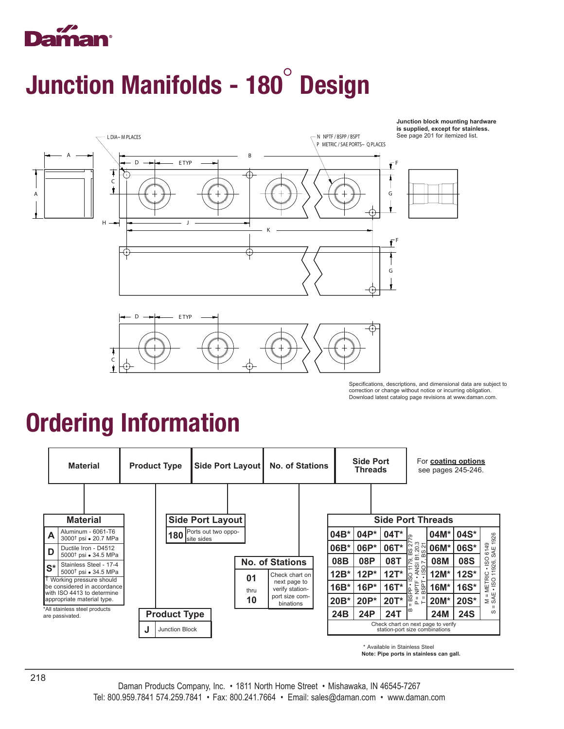

## Junction Manifolds - 180° Design



Specifications, descriptions, and dimensional data are subject to correction or change without notice or incurring obligation. Download latest catalog page revisions at www.daman.com.

**Junction block mounting hardware**

### Ordering Information

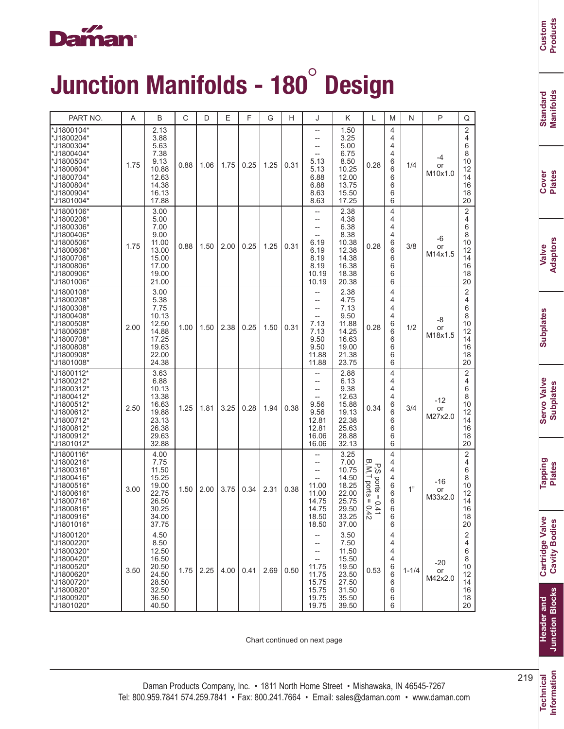#### aman

# Junction Manifolds - 180° Design

| PART NO.                                                                                                                                      | A    | B                                                                                    | C    | D    | Ε    | F    | G    | н    | J                                                                                                      | Κ                                                                                    | L                                                                                                          | M                                              | N         | P                      | Q                                                                 |
|-----------------------------------------------------------------------------------------------------------------------------------------------|------|--------------------------------------------------------------------------------------|------|------|------|------|------|------|--------------------------------------------------------------------------------------------------------|--------------------------------------------------------------------------------------|------------------------------------------------------------------------------------------------------------|------------------------------------------------|-----------|------------------------|-------------------------------------------------------------------|
| *J1800104*<br>*J1800204*<br>*J1800304*<br>*J1800404*<br>*J1800504*<br>*J1800604*<br>*J1800704*<br>*J1800804*<br>*J1800904*<br>*J1801004*      | 1.75 | 2.13<br>3.88<br>5.63<br>7.38<br>9.13<br>10.88<br>12.63<br>14.38<br>16.13<br>17.88    | 0.88 | 1.06 | 1.75 | 0.25 | 1.25 | 0.31 | --<br>$\overline{\phantom{a}}$<br>5.13<br>5.13<br>6.88<br>6.88<br>8.63<br>8.63                         | 1.50<br>3.25<br>5.00<br>6.75<br>8.50<br>10.25<br>12.00<br>13.75<br>15.50<br>17.25    | 0.28                                                                                                       | 4<br>4<br>4<br>4<br>6<br>6<br>6<br>6<br>6<br>6 | 1/4       | -4<br>or<br>M10x1.0    | 2<br>4<br>6<br>8<br>10<br>12<br>14<br>16<br>18<br>20              |
| *J1800106*<br>*J1800206*<br>*J1800306*<br>*J1800406*<br>*J1800506*<br>*J1800606*<br>*J1800706*<br>'*J1800806*<br>*J1800906*<br>*J1801006*     | 1.75 | 3.00<br>5.00<br>7.00<br>9.00<br>11.00<br>13.00<br>15.00<br>17.00<br>19.00<br>21.00   | 0.88 | 1.50 | 2.00 | 0.25 | 1.25 | 0.31 | --<br>6.19<br>6.19<br>8.19<br>8.19<br>10.19<br>10.19                                                   | 2.38<br>4.38<br>6.38<br>8.38<br>10.38<br>12.38<br>14.38<br>16.38<br>18.38<br>20.38   | 0.28                                                                                                       | 4<br>4<br>4<br>4<br>6<br>6<br>6<br>6<br>6<br>6 | 3/8       | -6<br>or<br>M14x1.5    | $\overline{2}$<br>4<br>6<br>8<br>10<br>12<br>14<br>16<br>18<br>20 |
| *J1800108*<br>*J1800208*<br>*J1800308*<br>*J1800408*<br>*J1800508*<br>*J1800608*<br>*J1800708*<br>*J1800808*<br>*J1800908*<br>*J1801008*      | 2.00 | 3.00<br>5.38<br>7.75<br>10.13<br>12.50<br>14.88<br>17.25<br>19.63<br>22.00<br>24.38  | 1.00 | 1.50 | 2.38 | 0.25 | 1.50 | 0.31 | $\overline{\phantom{a}}$<br>$\overline{\phantom{a}}$<br>7.13<br>7.13<br>9.50<br>9.50<br>11.88<br>11.88 | 2.38<br>4.75<br>7.13<br>9.50<br>11.88<br>14.25<br>16.63<br>19.00<br>21.38<br>23.75   | 0.28                                                                                                       | 4<br>4<br>4<br>4<br>6<br>6<br>6<br>6<br>6<br>6 | 1/2       | -8<br>or<br>M18x1.5    | $\overline{2}$<br>4<br>6<br>8<br>10<br>12<br>14<br>16<br>18<br>20 |
| *J1800112*<br>*J1800212*<br>*J1800312*<br>*J1800412*<br>*J1800512*<br>*J1800612*<br>*J1800712*<br>*J1800812*<br>*J1800912*<br>*J1801012*      | 2.50 | 3.63<br>6.88<br>10.13<br>13.38<br>16.63<br>19.88<br>23.13<br>26.38<br>29.63<br>32.88 | 1.25 | 1.81 | 3.25 | 0.28 | 1.94 | 0.38 | $\overline{\phantom{a}}$<br>9.56<br>9.56<br>12.81<br>12.81<br>16.06<br>16.06                           | 2.88<br>6.13<br>9.38<br>12.63<br>15.88<br>19.13<br>22.38<br>25.63<br>28.88<br>32.13  | 0.34                                                                                                       | 4<br>4<br>4<br>4<br>6<br>6<br>6<br>6<br>6<br>6 | 3/4       | -12<br>or<br>M27x2.0   | $\overline{2}$<br>4<br>6<br>8<br>10<br>12<br>14<br>16<br>18<br>20 |
| *J1800116*<br>*J1800216*<br>*J1800316*<br>*J1800416*<br>*J1800516*<br>*J1800616*<br>*J1800716*<br>*J1800816*<br>*J1800916*<br><b>J1801016</b> | 3.00 | 4.00<br>7.75<br>11.50<br>15.25<br>19.00<br>22.75<br>26.50<br>30.25<br>34.00<br>37.75 | 1.50 | 2.00 | 3.75 | 0.34 | 2.31 | 0.38 | --<br>11.00<br>11.00<br>14.75<br>14.75<br>18.50<br>18.50                                               | 3.25<br>7.00<br>10.75<br>14.50<br>18.25<br>22.00<br>25.75<br>29.50<br>33.25<br>37.00 | ᡂ<br>Р.<br>С<br>'N'⊥<br>ports<br>ports<br>Ш<br>$\mathbf{H}$<br>$\circ$<br>ō<br>$\frac{4}{1}$<br>$\ddot{4}$ | 4<br>4<br>4<br>4<br>6<br>6<br>6<br>6<br>6<br>6 | 1"        | -16<br>or<br>M33x2.0   | $\overline{2}$<br>4<br>6<br>8<br>10<br>12<br>14<br>16<br>18<br>20 |
| *J1800120*<br>*J1800220*<br>*J1800320*<br>*J1800420*<br>*J1800520*<br>*J1800620*<br>*J1800720*<br>*J1800820*<br>*J1800920*<br>*J1801020*      | 3.50 | 4.50<br>8.50<br>12.50<br>16.50<br>20.50<br>24.50<br>28.50<br>32.50<br>36.50<br>40.50 | 1.75 | 2.25 | 4.00 | 0.41 | 2.69 | 0.50 | $\qquad \qquad -$<br>--<br>11.75<br>11.75<br>15.75<br>15.75<br>19.75<br>19.75                          | 3.50<br>7.50<br>11.50<br>15.50<br>19.50<br>23.50<br>27.50<br>31.50<br>35.50<br>39.50 | 0.53                                                                                                       | 4<br>4<br>4<br>4<br>6<br>6<br>6<br>6<br>6<br>6 | $1 - 1/4$ | $-20$<br>or<br>M42x2.0 | 2<br>4<br>6<br>8<br>10<br>12<br>14<br>16<br>18<br>20              |

Chart continued on next page

Standard<br>Manifolds **Manifolds Standard**

**Cover Plates**

**Valve Adaptors**

**Subplates Subplates**

Servo Valve<br>Subplates **Servo Valve Subplates**

**Tapping Plates**

**Cartridge Valve**<br>Cavity Bodies **Cartridge Valve Cavity Bodies**

**Junction Blocks Junction Blocks Header** and **Header and**

**Information**